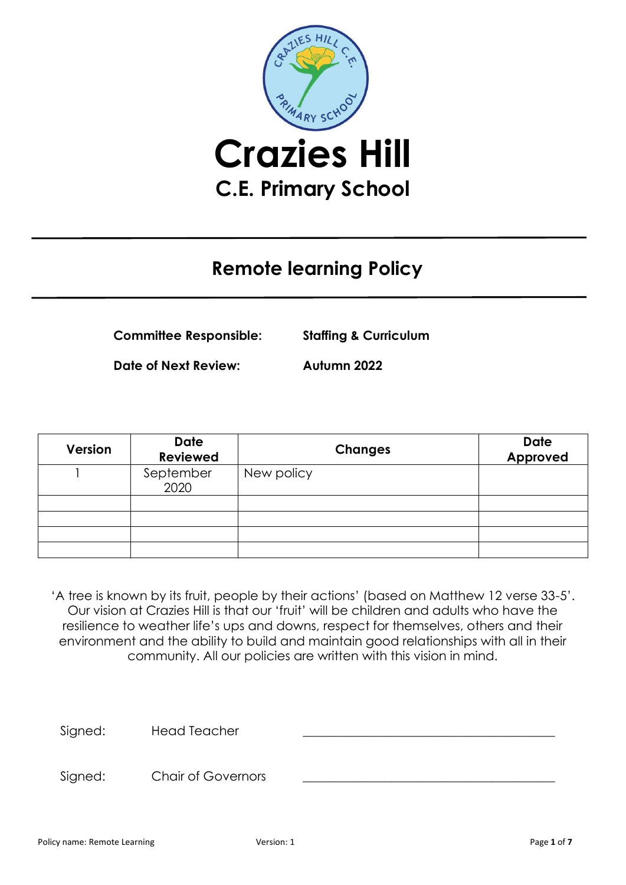

# **Remote learning Policy**

**Committee Responsible: Staffing & Curriculum**

**Date of Next Review: Autumn 2022**

| <b>Version</b> | <b>Date</b><br><b>Reviewed</b> | <b>Changes</b> | <b>Date</b><br>Approved |
|----------------|--------------------------------|----------------|-------------------------|
|                | September<br>2020              | New policy     |                         |
|                |                                |                |                         |
|                |                                |                |                         |
|                |                                |                |                         |
|                |                                |                |                         |

'A tree is known by its fruit, people by their actions' (based on Matthew 12 verse 33-5'. Our vision at Crazies Hill is that our 'fruit' will be children and adults who have the resilience to weather life's ups and downs, respect for themselves, others and their environment and the ability to build and maintain good relationships with all in their community. All our policies are written with this vision in mind.

Signed: Head Teacher

Signed: Chair of Governors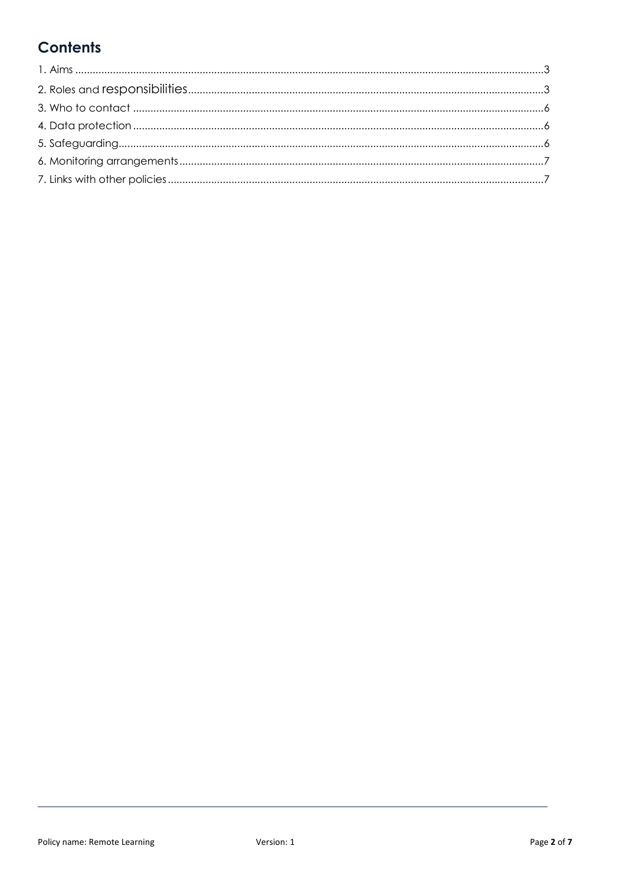### **Contents**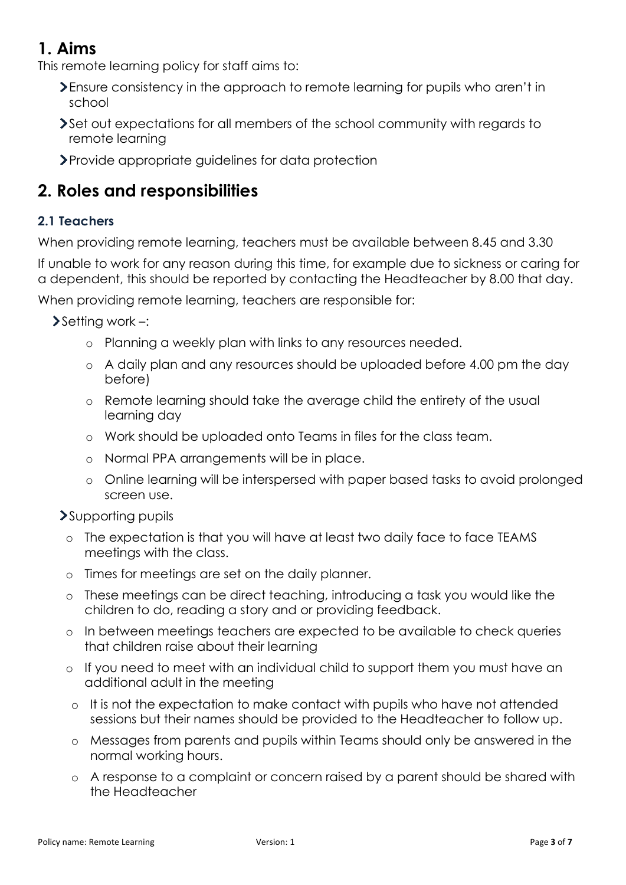### <span id="page-2-0"></span>**1. Aims**

This remote learning policy for staff aims to:

- Ensure consistency in the approach to remote learning for pupils who aren't in school
- Set out expectations for all members of the school community with regards to remote learning
- Provide appropriate guidelines for data protection

## <span id="page-2-1"></span>**2. Roles and responsibilities**

### **2.1 Teachers**

When providing remote learning, teachers must be available between 8.45 and 3.30

If unable to work for any reason during this time, for example due to sickness or caring for a dependent, this should be reported by contacting the Headteacher by 8.00 that day.

When providing remote learning, teachers are responsible for:

 $\blacktriangleright$  Setting work –:

- o Planning a weekly plan with links to any resources needed.
- o A daily plan and any resources should be uploaded before 4.00 pm the day before)
- o Remote learning should take the average child the entirety of the usual learning day
- o Work should be uploaded onto Teams in files for the class team.
- o Normal PPA arrangements will be in place.
- o Online learning will be interspersed with paper based tasks to avoid prolonged screen use.

Supporting pupils

- o The expectation is that you will have at least two daily face to face TEAMS meetings with the class.
- o Times for meetings are set on the daily planner.
- o These meetings can be direct teaching, introducing a task you would like the children to do, reading a story and or providing feedback.
- o In between meetings teachers are expected to be available to check queries that children raise about their learning
- o If you need to meet with an individual child to support them you must have an additional adult in the meeting
- o It is not the expectation to make contact with pupils who have not attended sessions but their names should be provided to the Headteacher to follow up.
- o Messages from parents and pupils within Teams should only be answered in the normal working hours.
- o A response to a complaint or concern raised by a parent should be shared with the Headteacher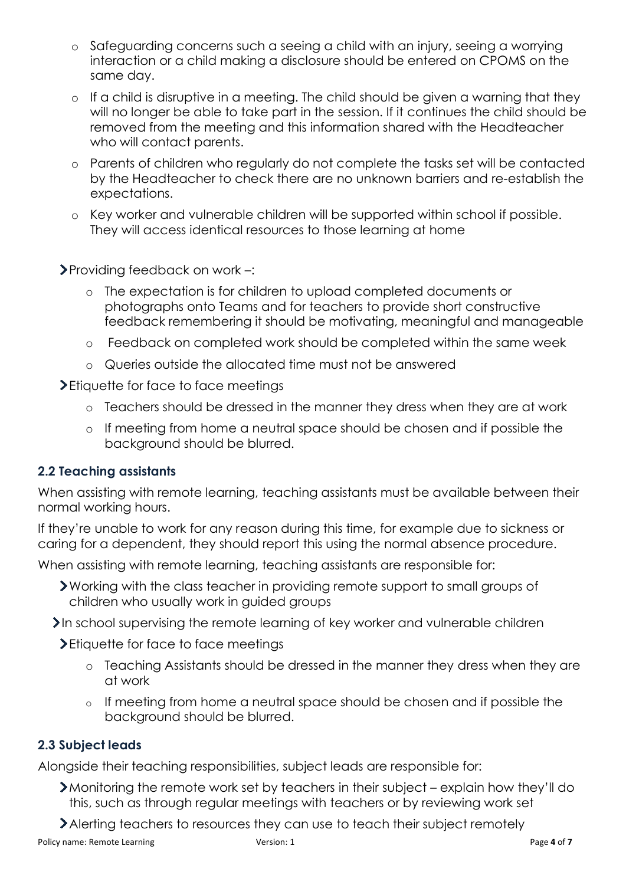- o Safeguarding concerns such a seeing a child with an injury, seeing a worrying interaction or a child making a disclosure should be entered on CPOMS on the same day.
- o If a child is disruptive in a meeting. The child should be given a warning that they will no longer be able to take part in the session. If it continues the child should be removed from the meeting and this information shared with the Headteacher who will contact parents.
- o Parents of children who regularly do not complete the tasks set will be contacted by the Headteacher to check there are no unknown barriers and re-establish the expectations.
- o Key worker and vulnerable children will be supported within school if possible. They will access identical resources to those learning at home

Providing feedback on work –:

- o The expectation is for children to upload completed documents or photographs onto Teams and for teachers to provide short constructive feedback remembering it should be motivating, meaningful and manageable
- o Feedback on completed work should be completed within the same week
- o Queries outside the allocated time must not be answered

> Etiquette for face to face meetings

- o Teachers should be dressed in the manner they dress when they are at work
- o If meeting from home a neutral space should be chosen and if possible the background should be blurred.

#### **2.2 Teaching assistants**

When assisting with remote learning, teaching assistants must be available between their normal working hours.

If they're unable to work for any reason during this time, for example due to sickness or caring for a dependent, they should report this using the normal absence procedure.

When assisting with remote learning, teaching assistants are responsible for:

Working with the class teacher in providing remote support to small groups of children who usually work in guided groups

In school supervising the remote learning of key worker and vulnerable children

> Etiquette for face to face meetings

- o Teaching Assistants should be dressed in the manner they dress when they are at work
- o If meeting from home a neutral space should be chosen and if possible the background should be blurred.

#### **2.3 Subject leads**

Alongside their teaching responsibilities, subject leads are responsible for:

- Monitoring the remote work set by teachers in their subject explain how they'll do this, such as through regular meetings with teachers or by reviewing work set
- Alerting teachers to resources they can use to teach their subject remotely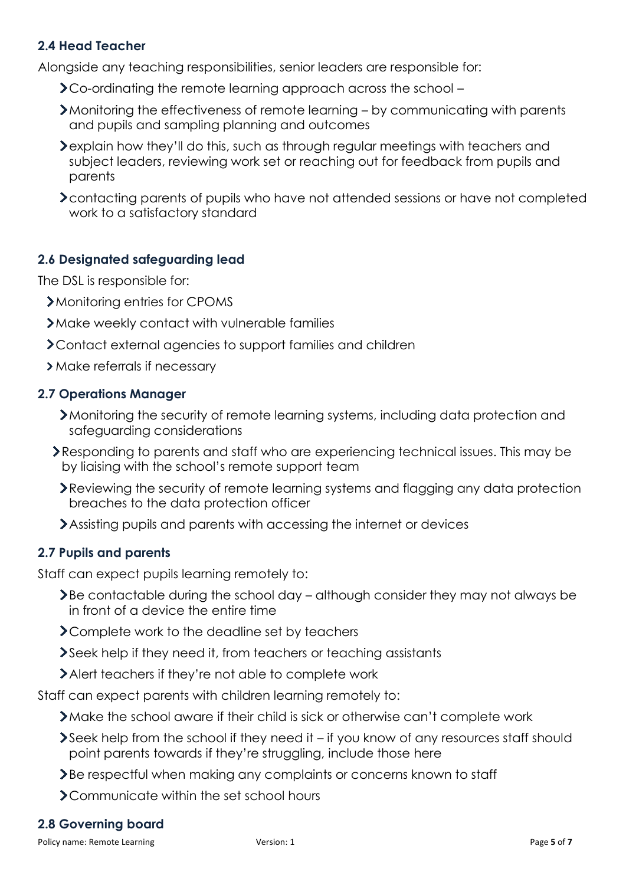#### **2.4 Head Teacher**

Alongside any teaching responsibilities, senior leaders are responsible for:

- Co-ordinating the remote learning approach across the school –
- Monitoring the effectiveness of remote learning by communicating with parents and pupils and sampling planning and outcomes
- explain how they'll do this, such as through regular meetings with teachers and subject leaders, reviewing work set or reaching out for feedback from pupils and parents
- contacting parents of pupils who have not attended sessions or have not completed work to a satisfactory standard

#### **2.6 Designated safeguarding lead**

The DSL is responsible for:

- Monitoring entries for CPOMS
- Make weekly contact with vulnerable families
- Contact external agencies to support families and children
- > Make referrals if necessary

#### **2.7 Operations Manager**

- Monitoring the security of remote learning systems, including data protection and safeguarding considerations
- Responding to parents and staff who are experiencing technical issues. This may be by liaising with the school's remote support team
	- Reviewing the security of remote learning systems and flagging any data protection breaches to the data protection officer
	- Assisting pupils and parents with accessing the internet or devices

#### **2.7 Pupils and parents**

Staff can expect pupils learning remotely to:

- Be contactable during the school day although consider they may not always be in front of a device the entire time
- > Complete work to the deadline set by teachers
- Seek help if they need it, from teachers or teaching assistants
- Alert teachers if they're not able to complete work

Staff can expect parents with children learning remotely to:

- Make the school aware if their child is sick or otherwise can't complete work
- Seek help from the school if they need it if you know of any resources staff should point parents towards if they're struggling, include those here
- Be respectful when making any complaints or concerns known to staff
- > Communicate within the set school hours

#### **2.8 Governing board**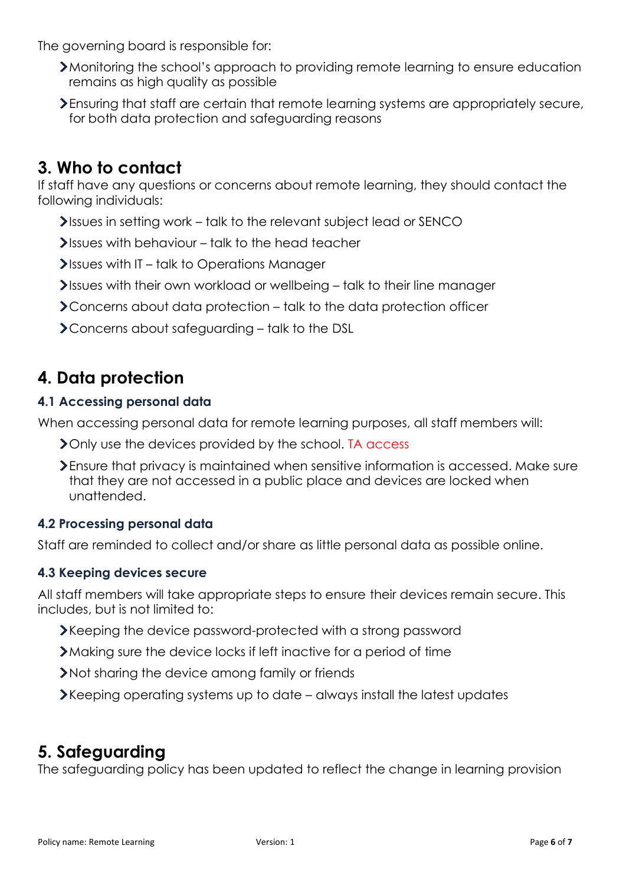The governing board is responsible for:

- Monitoring the school's approach to providing remote learning to ensure education remains as high quality as possible
- Ensuring that staff are certain that remote learning systems are appropriately secure, for both data protection and safeguarding reasons

### <span id="page-5-0"></span>**3. Who to contact**

If staff have any questions or concerns about remote learning, they should contact the following individuals:

- Issues in setting work talk to the relevant subject lead or SENCO
- $\blacktriangleright$  Issues with behaviour talk to the head teacher
- Issues with IT talk to Operations Manager
- Issues with their own workload or wellbeing talk to their line manager
- Concerns about data protection talk to the data protection officer
- Concerns about safeguarding talk to the DSL

### <span id="page-5-1"></span>**4. Data protection**

#### **4.1 Accessing personal data**

When accessing personal data for remote learning purposes, all staff members will:

- > Only use the devices provided by the school. TA access
- Ensure that privacy is maintained when sensitive information is accessed. Make sure that they are not accessed in a public place and devices are locked when unattended.

#### **4.2 Processing personal data**

Staff are reminded to collect and/or share as little personal data as possible online.

#### **4.3 Keeping devices secure**

All staff members will take appropriate steps to ensure their devices remain secure. This includes, but is not limited to:

- Keeping the device password-protected with a strong password
- Making sure the device locks if left inactive for a period of time
- Not sharing the device among family or friends
- Keeping operating systems up to date always install the latest updates

### <span id="page-5-2"></span>**5. Safeguarding**

The safeguarding policy has been updated to reflect the change in learning provision